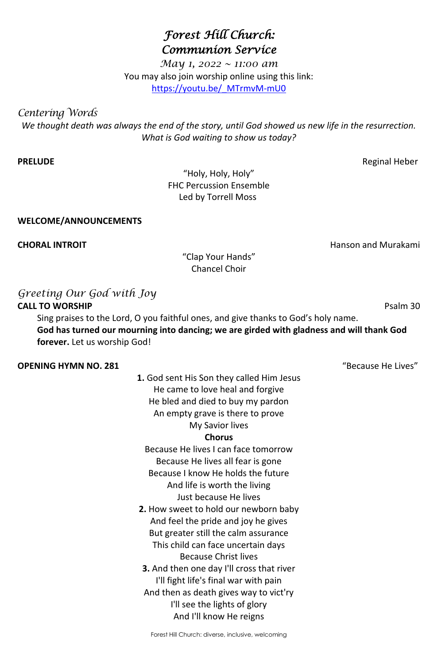Forest Hill Church: diverse, inclusive, welcoming

# *Forest Hill Church: Communion Service*

*May 1, 2022 ~ 11:00 am* You may also join worship online using this link: [https://youtu.be/\\_MTrmvM-mU0](https://youtu.be/_MTrmvM-mU0)

*Centering Words* 

*We thought death was always the end of the story, until God showed us new life in the resurrection. What is God waiting to show us today?*

**PRELUDE** Reginal Heber

"Holy, Holy, Holy" FHC Percussion Ensemble Led by Torrell Moss

#### **WELCOME/ANNOUNCEMENTS**

"Clap Your Hands" Chancel Choir

## *Greeting Our God with Joy*

### **CALL TO WORSHIP** Psalm 30

Sing praises to the Lord, O you faithful ones, and give thanks to God's holy name. **God has turned our mourning into dancing; we are girded with gladness and will thank God forever.** Let us worship God!

#### **OPENING HYMN NO. 281** "Because He Lives"

**1.** God sent His Son they called Him Jesus He came to love heal and forgive He bled and died to buy my pardon An empty grave is there to prove My Savior lives **Chorus**

Because He lives I can face tomorrow

Because He lives all fear is gone

Because I know He holds the future

And life is worth the living

**CHORAL INTROIT CHORAL INTROIT** 

Just because He lives **2.** How sweet to hold our newborn baby And feel the pride and joy he gives But greater still the calm assurance This child can face uncertain days Because Christ lives **3.** And then one day I'll cross that river I'll fight life's final war with pain And then as death gives way to vict'ry I'll see the lights of glory And I'll know He reigns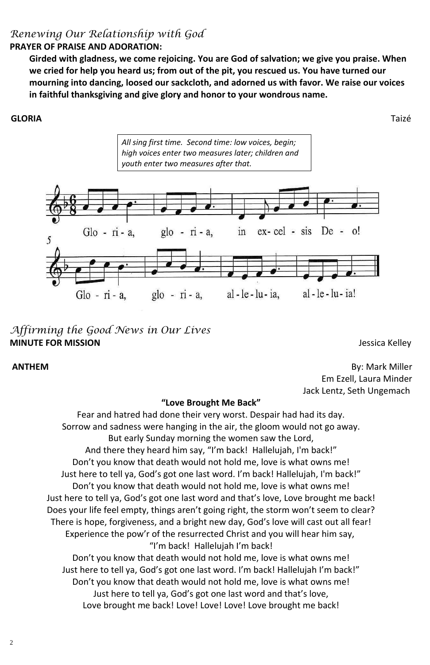## *Renewing Our Relationship with God*

### **PRAYER OF PRAISE AND ADORATION:**

**Girded with gladness, we come rejoicing. You are God of salvation; we give you praise. When we cried for help you heard us; from out of the pit, you rescued us. You have turned our mourning into dancing, loosed our sackcloth, and adorned us with favor. We raise our voices in faithful thanksgiving and give glory and honor to your wondrous name.**

#### **GLORIA**Taizé

## *Affirming the Good News in Our Lives* **MINUTE FOR MISSION** Jessica Kelley

**ANTHEM** By: Mark Miller Em Ezell, Laura Minder Jack Lentz, Seth Ungemach

## **"Love Brought Me Back"**

Don't you know that death would not hold me, love is what owns me! Just here to tell ya, God's got one last word. I'm back! Hallelujah I'm back!" Don't you know that death would not hold me, love is what owns me! Just here to tell ya, God's got one last word and that's love, Love brought me back! Love! Love! Love! Love brought me back!

Fear and hatred had done their very worst. Despair had had its day. Sorrow and sadness were hanging in the air, the gloom would not go away. But early Sunday morning the women saw the Lord, And there they heard him say, "I'm back! Hallelujah, I'm back!" Don't you know that death would not hold me, love is what owns me! Just here to tell ya, God's got one last word. I'm back! Hallelujah, I'm back!" Don't you know that death would not hold me, love is what owns me! Just here to tell ya, God's got one last word and that's love, Love brought me back! Does your life feel empty, things aren't going right, the storm won't seem to clear? There is hope, forgiveness, and a bright new day, God's love will cast out all fear! Experience the pow'r of the resurrected Christ and you will hear him say, "I'm back! Hallelujah I'm back!

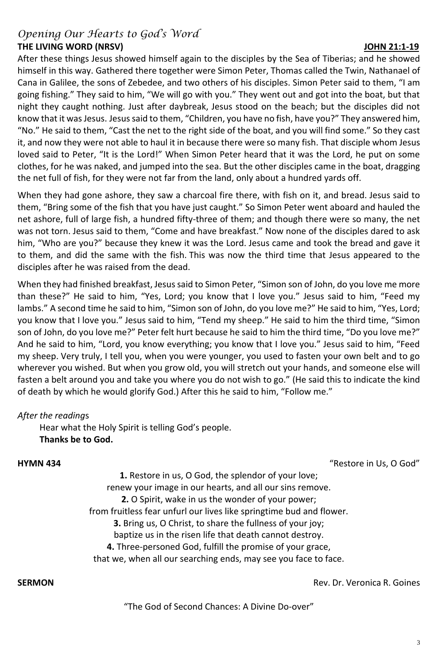## *Opening Our Hearts to God's Word* **THE LIVING WORD (NRSV) STATE LIVING WORD** (NRSV)

After these things Jesus showed himself again to the disciples by the Sea of Tiberias; and he showed himself in this way. Gathered there together were Simon Peter, Thomas called the Twin, Nathanael of Cana in Galilee, the sons of Zebedee, and two others of his disciples. Simon Peter said to them, "I am going fishing." They said to him, "We will go with you." They went out and got into the boat, but that night they caught nothing. Just after daybreak, Jesus stood on the beach; but the disciples did not know that it was Jesus. Jesus said to them, "Children, you have no fish, have you?" They answered him, "No." He said to them, "Cast the net to the right side of the boat, and you will find some." So they cast it, and now they were not able to haul it in because there were so many fish. That disciple whom Jesus loved said to Peter, "It is the Lord!" When Simon Peter heard that it was the Lord, he put on some clothes, for he was naked, and jumped into the sea. But the other disciples came in the boat, dragging the net full of fish, for they were not far from the land, only about a hundred yards off.

> **1.** Restore in us, O God, the splendor of your love; renew your image in our hearts, and all our sins remove. **2.** O Spirit, wake in us the wonder of your power; from fruitless fear unfurl our lives like springtime bud and flower. **3.** Bring us, O Christ, to share the fullness of your joy; baptize us in the risen life that death cannot destroy. **4.** Three-personed God, fulfill the promise of your grace, that we, when all our searching ends, may see you face to face.

**SERMON** *Rev. Dr. Veronica R. Goines* 

When they had gone ashore, they saw a charcoal fire there, with fish on it, and bread. Jesus said to them, "Bring some of the fish that you have just caught." So Simon Peter went aboard and hauled the net ashore, full of large fish, a hundred fifty-three of them; and though there were so many, the net was not torn. Jesus said to them, "Come and have breakfast." Now none of the disciples dared to ask him, "Who are you?" because they knew it was the Lord. Jesus came and took the bread and gave it to them, and did the same with the fish. This was now the third time that Jesus appeared to the disciples after he was raised from the dead.

When they had finished breakfast, Jesus said to Simon Peter, "Simon son of John, do you love me more than these?" He said to him, "Yes, Lord; you know that I love you." Jesus said to him, "Feed my lambs." A second time he said to him, "Simon son of John, do you love me?" He said to him, "Yes, Lord; you know that I love you." Jesus said to him, "Tend my sheep." He said to him the third time, "Simon son of John, do you love me?" Peter felt hurt because he said to him the third time, "Do you love me?" And he said to him, "Lord, you know everything; you know that I love you." Jesus said to him, "Feed my sheep. Very truly, I tell you, when you were younger, you used to fasten your own belt and to go wherever you wished. But when you grow old, you will stretch out your hands, and someone else will fasten a belt around you and take you where you do not wish to go." (He said this to indicate the kind of death by which he would glorify God.) After this he said to him, "Follow me."

*After the reading*s

Hear what the Holy Spirit is telling God's people. **Thanks be to God.**

**HYMN 434** "Restore in Us, O God"

"The God of Second Chances: A Divine Do-over"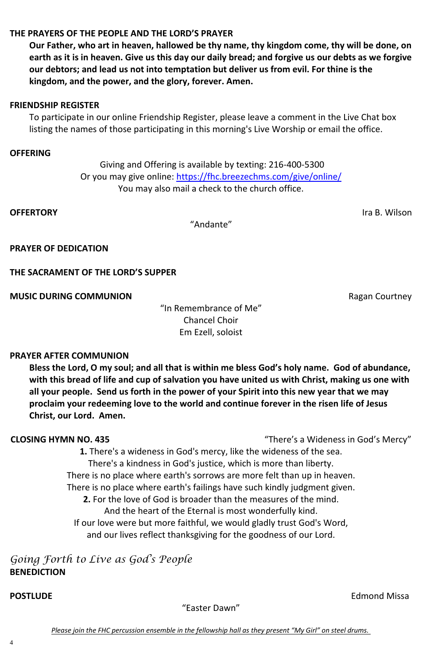4

**POSTLUDE** Edmond Missa

### **THE PRAYERS OF THE PEOPLE AND THE LORD'S PRAYER**

**Our Father, who art in heaven, hallowed be thy name, thy kingdom come, thy will be done, on earth as it is in heaven. Give us this day our daily bread; and forgive us our debts as we forgive our debtors; and lead us not into temptation but deliver us from evil. For thine is the kingdom, and the power, and the glory, forever. Amen.**

#### **FRIENDSHIP REGISTER**

To participate in our online Friendship Register, please leave a comment in the Live Chat box listing the names of those participating in this morning's Live Worship or email the office.

#### **OFFERING**

[Giving and Offering is available by texting: 216-400-5300](https://www.fhcpresb.org/social-justice-outreach/stewardship-2015/giving/#paypal) Or you may give online:<https://fhc.breezechms.com/give/online/> You may also mail a check to the church office.

#### **OFFERTORY** Ira B. Wilson

"Andante"

**PRAYER OF DEDICATION**

**THE SACRAMENT OF THE LORD'S SUPPER**

**MUSIC DURING COMMUNION Ragan Courtney** 

"In Remembrance of Me" Chancel Choir Em Ezell, soloist

#### **PRAYER AFTER COMMUNION**

**Bless the Lord, O my soul; and all that is within me bless God's holy name. God of abundance, with this bread of life and cup of salvation you have united us with Christ, making us one with all your people. Send us forth in the power of your Spirit into this new year that we may proclaim your redeeming love to the world and continue forever in the risen life of Jesus Christ, our Lord. Amen.**

#### **CLOSING HYMN NO. 435** "There's a Wideness in God's Mercy"

**1.** There's a wideness in God's mercy, like the wideness of the sea. There's a kindness in God's justice, which is more than liberty. There is no place where earth's sorrows are more felt than up in heaven.

There is no place where earth's failings have such kindly judgment given.

**2.** For the love of God is broader than the measures of the mind. And the heart of the Eternal is most wonderfully kind. If our love were but more faithful, we would gladly trust God's Word, and our lives reflect thanksgiving for the goodness of our Lord.

## *Going Forth to Live as God's People* **BENEDICTION**

"Easter Dawn"

*Please join the FHC percussion ensemble in the fellowship hall as they present "My Girl" on steel drums.*